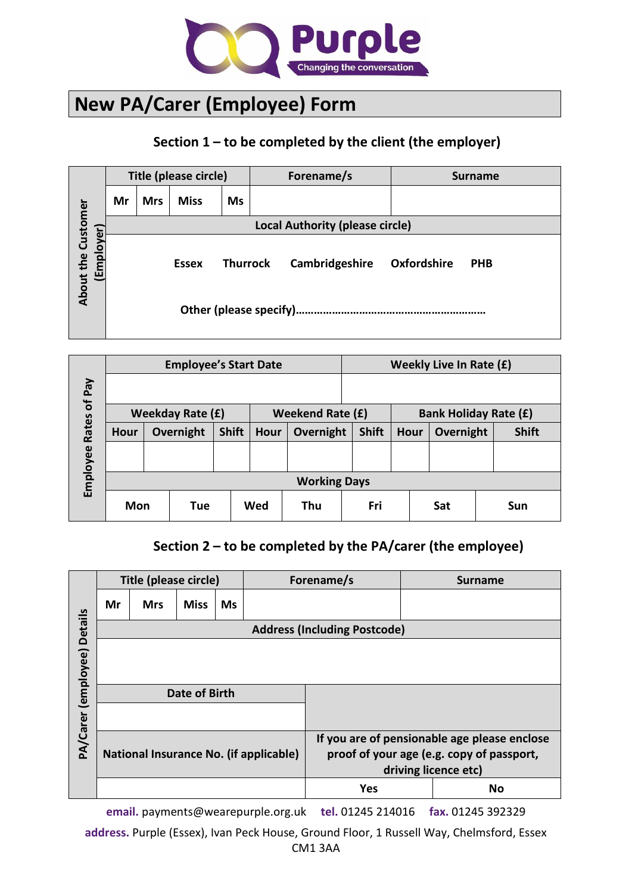

## **New PA/Carer (Employee) Form**

## **Section 1 – to be completed by the client (the employer)**

|                                         |    |            | Title (please circle) |           | Forename/s                             |             | <b>Surname</b> |  |  |
|-----------------------------------------|----|------------|-----------------------|-----------|----------------------------------------|-------------|----------------|--|--|
|                                         | Mr | <b>Mrs</b> | <b>Miss</b>           | <b>Ms</b> |                                        |             |                |  |  |
|                                         |    |            |                       |           | <b>Local Authority (please circle)</b> |             |                |  |  |
| <b>About the Customer</b><br>(Employer) |    |            | <b>Essex</b>          | Thurrock  | Cambridgeshire                         | Oxfordshire | <b>PHB</b>     |  |  |
|                                         |    |            |                       |           |                                        |             |                |  |  |

|                      |                         |           | <b>Employee's Start Date</b> |              |                   | Weekly Live In Rate (£) |              |                              |           |              |
|----------------------|-------------------------|-----------|------------------------------|--------------|-------------------|-------------------------|--------------|------------------------------|-----------|--------------|
| Pay                  |                         |           |                              |              |                   |                         |              |                              |           |              |
|                      | <b>Weekday Rate (£)</b> |           |                              |              |                   | <b>Weekend Rate (£)</b> |              | <b>Bank Holiday Rate (£)</b> |           |              |
| Rates of<br>Employee | <b>Hour</b>             | Overnight |                              | <b>Shift</b> | Overnight<br>Hour |                         | <b>Shift</b> | <b>Hour</b>                  | Overnight | <b>Shift</b> |
|                      |                         |           |                              |              |                   |                         |              |                              |           |              |
|                      | <b>Working Days</b>     |           |                              |              |                   |                         |              |                              |           |              |
|                      | Mon                     |           | Tue                          |              | Wed               | Thu                     | Fri          |                              | Sat       | Sun          |

## **Section 2 – to be completed by the PA/carer (the employee)**

|                             |    | Title (please circle)               |               |           | Forename/s                             |                                                                                                                   |  | <b>Surname</b> |  |  |
|-----------------------------|----|-------------------------------------|---------------|-----------|----------------------------------------|-------------------------------------------------------------------------------------------------------------------|--|----------------|--|--|
|                             | Mr | <b>Mrs</b>                          | <b>Miss</b>   | <b>Ms</b> |                                        |                                                                                                                   |  |                |  |  |
|                             |    | <b>Address (Including Postcode)</b> |               |           |                                        |                                                                                                                   |  |                |  |  |
|                             |    |                                     |               |           |                                        |                                                                                                                   |  |                |  |  |
| PA/Carer (employee) Details |    |                                     | Date of Birth |           |                                        |                                                                                                                   |  |                |  |  |
|                             |    |                                     |               |           | National Insurance No. (if applicable) | If you are of pensionable age please enclose<br>proof of your age (e.g. copy of passport,<br>driving licence etc) |  |                |  |  |
|                             |    |                                     |               |           |                                        | <b>Yes</b>                                                                                                        |  | <b>No</b>      |  |  |

**email.** payments@wearepurple.org.uk **tel.** 01245 214016 **fax.** 01245 392329

**address.** Purple (Essex), Ivan Peck House, Ground Floor, 1 Russell Way, Chelmsford, Essex CM1 3AA